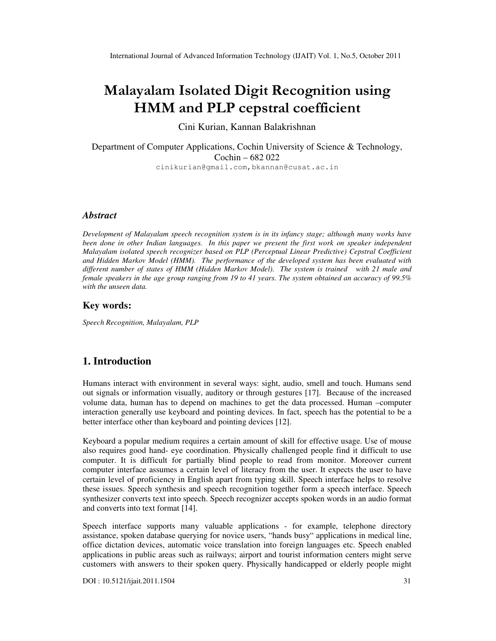# Malayalam Isolated Digit Recognition using HMM and PLP cepstral coefficient

Cini Kurian, Kannan Balakrishnan

Department of Computer Applications, Cochin University of Science & Technology, Cochin – 682 022 cinikurian@gmail.com,bkannan@cusat.ac.in

# *Abstract*

*Development of Malayalam speech recognition system is in its infancy stage; although many works have*  been done in other Indian languages. In this paper we present the first work on speaker independent *Malayalam isolated speech recognizer based on PLP (Perceptual Linear Predictive) Cepstral Coefficient and Hidden Markov Model (HMM). The performance of the developed system has been evaluated with different number of states of HMM (Hidden Markov Model). The system is trained with 21 male and female speakers in the age group ranging from 19 to 41 years. The system obtained an accuracy of 99.5% with the unseen data.* 

#### **Key words:**

*Speech Recognition, Malayalam, PLP* 

# **1. Introduction**

Humans interact with environment in several ways: sight, audio, smell and touch. Humans send out signals or information visually, auditory or through gestures [17]. Because of the increased volume data, human has to depend on machines to get the data processed. Human –computer interaction generally use keyboard and pointing devices. In fact, speech has the potential to be a better interface other than keyboard and pointing devices [12].

Keyboard a popular medium requires a certain amount of skill for effective usage. Use of mouse also requires good hand- eye coordination. Physically challenged people find it difficult to use computer. It is difficult for partially blind people to read from monitor. Moreover current computer interface assumes a certain level of literacy from the user. It expects the user to have certain level of proficiency in English apart from typing skill. Speech interface helps to resolve these issues. Speech synthesis and speech recognition together form a speech interface. Speech synthesizer converts text into speech. Speech recognizer accepts spoken words in an audio format and converts into text format [14].

Speech interface supports many valuable applications - for example, telephone directory assistance, spoken database querying for novice users, "hands busy" applications in medical line, office dictation devices, automatic voice translation into foreign languages etc. Speech enabled applications in public areas such as railways; airport and tourist information centers might serve customers with answers to their spoken query. Physically handicapped or elderly people might

DOI : 10.5121/ijait.2011.1504 31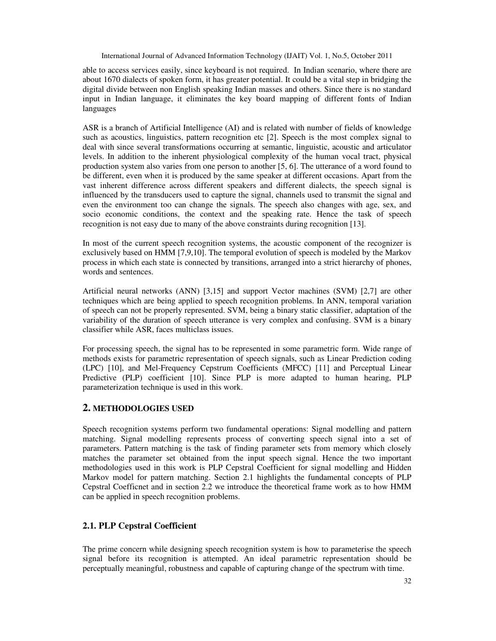able to access services easily, since keyboard is not required. In Indian scenario, where there are about 1670 dialects of spoken form, it has greater potential. It could be a vital step in bridging the digital divide between non English speaking Indian masses and others. Since there is no standard input in Indian language, it eliminates the key board mapping of different fonts of Indian languages

ASR is a branch of Artificial Intelligence (AI) and is related with number of fields of knowledge such as acoustics, linguistics, pattern recognition etc [2]. Speech is the most complex signal to deal with since several transformations occurring at semantic, linguistic, acoustic and articulator levels. In addition to the inherent physiological complexity of the human vocal tract, physical production system also varies from one person to another [5, 6]. The utterance of a word found to be different, even when it is produced by the same speaker at different occasions. Apart from the vast inherent difference across different speakers and different dialects, the speech signal is influenced by the transducers used to capture the signal, channels used to transmit the signal and even the environment too can change the signals. The speech also changes with age, sex, and socio economic conditions, the context and the speaking rate. Hence the task of speech recognition is not easy due to many of the above constraints during recognition [13].

In most of the current speech recognition systems, the acoustic component of the recognizer is exclusively based on HMM [7,9,10]. The temporal evolution of speech is modeled by the Markov process in which each state is connected by transitions, arranged into a strict hierarchy of phones, words and sentences.

Artificial neural networks (ANN) [3,15] and support Vector machines (SVM) [2,7] are other techniques which are being applied to speech recognition problems. In ANN, temporal variation of speech can not be properly represented. SVM, being a binary static classifier, adaptation of the variability of the duration of speech utterance is very complex and confusing. SVM is a binary classifier while ASR, faces multiclass issues.

For processing speech, the signal has to be represented in some parametric form. Wide range of methods exists for parametric representation of speech signals, such as Linear Prediction coding (LPC) [10], and Mel-Frequency Cepstrum Coefficients (MFCC) [11] and Perceptual Linear Predictive (PLP) coefficient [10]. Since PLP is more adapted to human hearing, PLP parameterization technique is used in this work.

## **2. METHODOLOGIES USED**

Speech recognition systems perform two fundamental operations: Signal modelling and pattern matching. Signal modelling represents process of converting speech signal into a set of parameters. Pattern matching is the task of finding parameter sets from memory which closely matches the parameter set obtained from the input speech signal. Hence the two important methodologies used in this work is PLP Cepstral Coefficient for signal modelling and Hidden Markov model for pattern matching. Section 2.1 highlights the fundamental concepts of PLP Cepstral Coefficnet and in section 2.2 we introduce the theoretical frame work as to how HMM can be applied in speech recognition problems.

# **2.1. PLP Cepstral Coefficient**

The prime concern while designing speech recognition system is how to parameterise the speech signal before its recognition is attempted. An ideal parametric representation should be perceptually meaningful, robustness and capable of capturing change of the spectrum with time.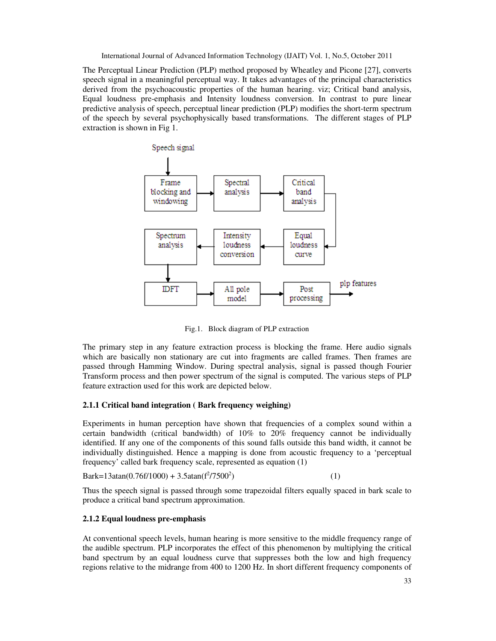The Perceptual Linear Prediction (PLP) method proposed by Wheatley and Picone [27], converts speech signal in a meaningful perceptual way. It takes advantages of the principal characteristics derived from the psychoacoustic properties of the human hearing. viz; Critical band analysis, Equal loudness pre-emphasis and Intensity loudness conversion. In contrast to pure linear predictive analysis of speech, perceptual linear prediction (PLP) modifies the short-term spectrum of the speech by several psychophysically based transformations. The different stages of PLP extraction is shown in Fig 1.



Fig.1. Block diagram of PLP extraction

The primary step in any feature extraction process is blocking the frame. Here audio signals which are basically non stationary are cut into fragments are called frames. Then frames are passed through Hamming Window. During spectral analysis, signal is passed though Fourier Transform process and then power spectrum of the signal is computed. The various steps of PLP feature extraction used for this work are depicted below.

## **2.1.1 Critical band integration ( Bark frequency weighing)**

Experiments in human perception have shown that frequencies of a complex sound within a certain bandwidth (critical bandwidth) of 10% to 20% frequency cannot be individually identified. If any one of the components of this sound falls outside this band width, it cannot be individually distinguished. Hence a mapping is done from acoustic frequency to a 'perceptual frequency' called bark frequency scale, represented as equation (1)

Bark=13atan(0.76f/1000) + 3.5atan( $f^2$ /7500<sup>2</sup>  $)$  (1)

Thus the speech signal is passed through some trapezoidal filters equally spaced in bark scale to produce a critical band spectrum approximation.

#### **2.1.2 Equal loudness pre-emphasis**

At conventional speech levels, human hearing is more sensitive to the middle frequency range of the audible spectrum. PLP incorporates the effect of this phenomenon by multiplying the critical band spectrum by an equal loudness curve that suppresses both the low and high frequency regions relative to the midrange from 400 to 1200 Hz. In short different frequency components of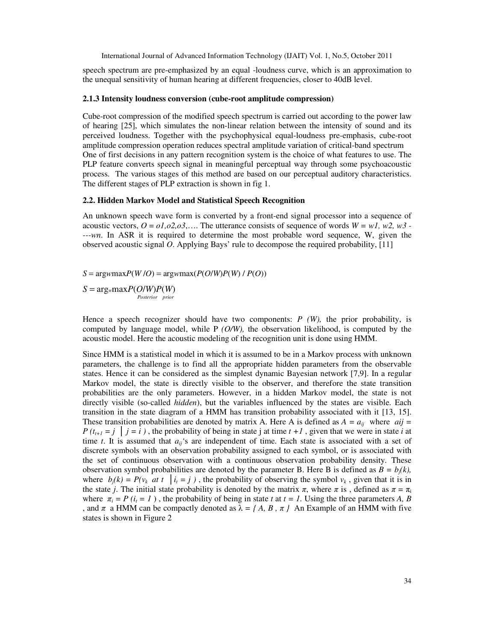speech spectrum are pre-emphasized by an equal -loudness curve, which is an approximation to the unequal sensitivity of human hearing at different frequencies, closer to 40dB level.

#### **2.1.3 Intensity loudness conversion (cube-root amplitude compression)**

Cube-root compression of the modified speech spectrum is carried out according to the power law of hearing [25], which simulates the non-linear relation between the intensity of sound and its perceived loudness. Together with the psychophysical equal-loudness pre-emphasis, cube-root amplitude compression operation reduces spectral amplitude variation of critical-band spectrum One of first decisions in any pattern recognition system is the choice of what features to use. The PLP feature converts speech signal in meaningful perceptual way through some psychoacoustic process. The various stages of this method are based on our perceptual auditory characteristics. The different stages of PLP extraction is shown in fig 1.

#### **2.2. Hidden Markov Model and Statistical Speech Recognition**

An unknown speech wave form is converted by a front-end signal processor into a sequence of acoustic vectors,  $\hat{O} = \partial I, \partial Z, \partial \hat{S},...$  The utterance consists of sequence of words  $W = wI$ ,  $w2$ ,  $w3$  -*---wn*. In ASR it is required to determine the most probable word sequence, W, given the observed acoustic signal *O*. Applying Bays' rule to decompose the required probability, [11]

 $S = \text{arg}w \text{max} P(W/O) = \text{arg}w \text{max} (P(O/W) P(W) / P(O))$ 

 $S = \arg\min_{W} P(O/W)P(W)$  *Posterior prior* 

Hence a speech recognizer should have two components: *P (W),* the prior probability, is computed by language model, while P *(O/W),* the observation likelihood, is computed by the acoustic model. Here the acoustic modeling of the recognition unit is done using HMM.

Since HMM is a statistical model in which it is assumed to be in a Markov process with unknown parameters, the challenge is to find all the appropriate hidden parameters from the observable states. Hence it can be considered as the simplest dynamic Bayesian network [7,9]. In a regular Markov model, the state is directly visible to the observer, and therefore the state transition probabilities are the only parameters. However, in a hidden Markov model, the state is not directly visible (so-called *hidden*), but the variables influenced by the states are visible. Each transition in the state diagram of a HMM has transition probability associated with it [13, 15]. These transition probabilities are denoted by matrix A. Here A is defined as  $A = a_{ij}$  where  $aij =$ *P* ( $t_{t+1} = j \mid j = i$ ), the probability of being in state j at time  $t + 1$ , given that we were in state *i* at time *t*. It is assumed that  $a_{ij}$ 's are independent of time. Each state is associated with a set of discrete symbols with an observation probability assigned to each symbol, or is associated with the set of continuous observation with a continuous observation probability density. These observation symbol probabilities are denoted by the parameter B. Here B is defined as  $B = b_i(k)$ , where  $b_j(k) = P(v_k \text{ at } t \mid i_t = j)$ , the probability of observing the symbol  $v_k$ , given that it is in the state *j*. The initial state probability is denoted by the matrix  $\pi$ , where  $\pi$  is, defined as  $\pi = \pi$ where  $\pi_i = P(i_i = 1)$ , the probability of being in state *t* at  $t = 1$ . Using the three parameters *A*, *B* , and  $\pi$  a HMM can be compactly denoted as  $\lambda = \{A, B, \pi\}$  An Example of an HMM with five states is shown in Figure 2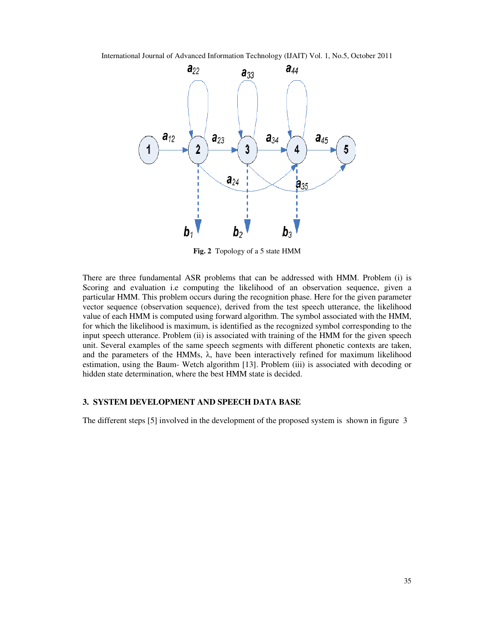

**Fig. 2** Topology of a 5 state HMM

There are three fundamental ASR problems that can be addressed with HMM. Problem (i) is Scoring and evaluation i.e computing the likelihood of an observation sequence, given a particular HMM. This problem occurs during the recognition phase. Here for the given parameter vector sequence (observation sequence), derived from the test speech utterance, the likelihood value of each HMM is computed using forward algorithm. The symbol associated with the HMM, for which the likelihood is maximum, is identified as the recognized symbol corresponding to the input speech utterance. Problem (ii) is associated with training of the HMM for the given speech unit. Several examples of the same speech segments with different phonetic contexts are taken, and the parameters of the HMMs,  $\lambda$ , have been interactively refined for maximum likelihood estimation, using the Baum- Wetch algorithm [13]. Problem (iii) is associated with decoding or hidden state determination, where the best HMM state is decided.

#### **3. SYSTEM DEVELOPMENT AND SPEECH DATA BASE**

The different steps [5] involved in the development of the proposed system is shown in figure 3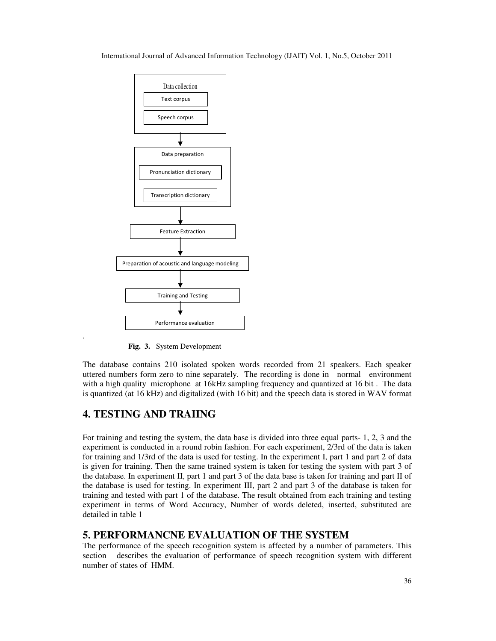

 **Fig. 3.** System Development

The database contains 210 isolated spoken words recorded from 21 speakers. Each speaker uttered numbers form zero to nine separately. The recording is done in normal environment with a high quality microphone at 16kHz sampling frequency and quantized at 16 bit . The data is quantized (at 16 kHz) and digitalized (with 16 bit) and the speech data is stored in WAV format

# **4. TESTING AND TRAIING**

.

For training and testing the system, the data base is divided into three equal parts- 1, 2, 3 and the experiment is conducted in a round robin fashion. For each experiment, 2/3rd of the data is taken for training and 1/3rd of the data is used for testing. In the experiment I, part 1 and part 2 of data is given for training. Then the same trained system is taken for testing the system with part 3 of the database. In experiment II, part 1 and part 3 of the data base is taken for training and part II of the database is used for testing. In experiment III, part 2 and part 3 of the database is taken for training and tested with part 1 of the database. The result obtained from each training and testing experiment in terms of Word Accuracy, Number of words deleted, inserted, substituted are detailed in table 1

# **5. PERFORMANCNE EVALUATION OF THE SYSTEM**

The performance of the speech recognition system is affected by a number of parameters. This section describes the evaluation of performance of speech recognition system with different number of states of HMM.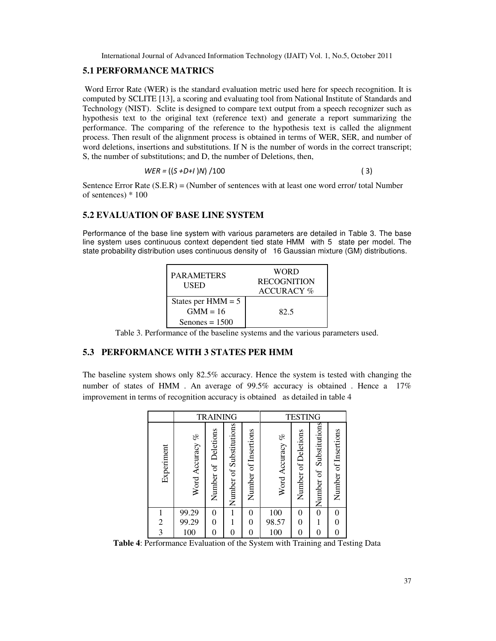#### **5.1 PERFORMANCE MATRICS**

Word Error Rate (WER) is the standard evaluation metric used here for speech recognition. It is computed by SCLITE [13], a scoring and evaluating tool from National Institute of Standards and Technology (NIST). Sclite is designed to compare text output from a speech recognizer such as hypothesis text to the original text (reference text) and generate a report summarizing the performance. The comparing of the reference to the hypothesis text is called the alignment process. Then result of the alignment process is obtained in terms of WER, SER, and number of word deletions, insertions and substitutions. If N is the number of words in the correct transcript; S, the number of substitutions; and D, the number of Deletions, then,

$$
WER = ((S + D + I)N) / 100
$$
 (3)

Sentence Error Rate (S.E.R) = (Number of sentences with at least one word error/ total Number of sentences) \* 100

# **5.2 EVALUATION OF BASE LINE SYSTEM**

Performance of the base line system with various parameters are detailed in Table 3. The base line system uses continuous context dependent tied state HMM with 5 state per model. The state probability distribution uses continuous density of 16 Gaussian mixture (GM) distributions.

| <b>PARAMETERS</b><br>USED                              | WORD<br><b>RECOGNITION</b><br><b>ACCURACY</b> % |
|--------------------------------------------------------|-------------------------------------------------|
| States per $HMM = 5$<br>$GMM = 16$<br>Senones $= 1500$ | 82.5                                            |

Table 3. Performance of the baseline systems and the various parameters used.

# **5.3 PERFORMANCE WITH 3 STATES PER HMM**

The baseline system shows only 82.5% accuracy. Hence the system is tested with changing the number of states of HMM . An average of 99.5% accuracy is obtained . Hence a 17% improvement in terms of recognition accuracy is obtained as detailed in table 4

|                | <b>TRAINING</b> |                        |                         | <b>TESTING</b>       |                 |                     |                            |                      |
|----------------|-----------------|------------------------|-------------------------|----------------------|-----------------|---------------------|----------------------------|----------------------|
| Experiment     | Word Accuracy % | Deletions<br>Number of | Number of Substitutions | Number of Insertions | Word Accuracy % | Number of Deletions | Substitutions<br>Number of | Number of Insertions |
|                | 99.29           | 0                      | 1                       | 0                    | 100             | 0                   | $\boldsymbol{0}$           | 0                    |
| $\overline{c}$ | 99.29           |                        |                         | 0                    | 98.57           | 0                   |                            |                      |
| 3              | 100             |                        | 0                       |                      | 100             |                     | 0                          |                      |

**Table 4**: Performance Evaluation of the System with Training and Testing Data